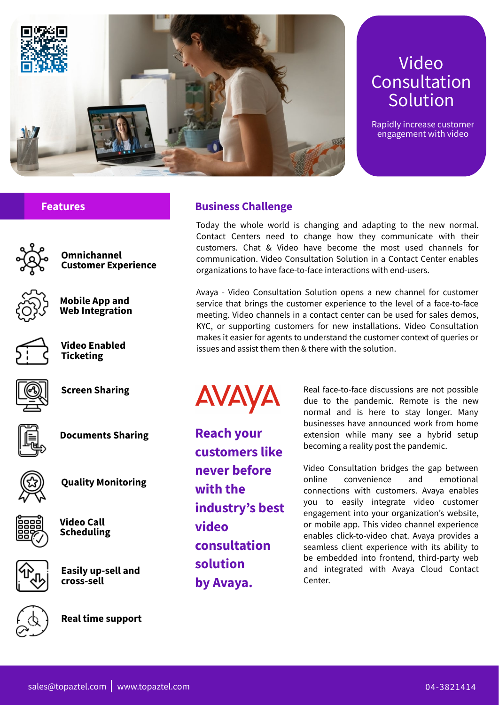Today the whole world is changing and adapting to the new normal. Contact Centers need to change how they communicate with their customers. Chat & Video have become the most used channels for communication. Video Consultation Solution in a Contact Center enables organizations to have face-to-face interactions with end-users.



Avaya - Video Consultation Solution opens a new channel for customer service that brings the customer experience to the level of a face-to-face meeting. Video channels in a contact center can be used for sales demos, KYC, or supporting customers for new installations. Video Consultation makes it easier for agents to understand the customer context of queries or issues and assist them then & there with the solution.

# **Business Challenge**



# Video **Consultation** Solution

Rapidly increase customer engagement with video

**Reach your customers like never before with the**

AVAYA

**industry's best video consultation solution by Avaya.**

sales@topaztel.com www.topaztel.com 3821414

![](_page_0_Picture_32.jpeg)

Real face-to-face discussions are not possible due to the pandemic. Remote is the new normal and is here to stay longer. Many businesses have announced work from home extension while many see a hybrid setup becoming a reality post the pandemic.

Video Consultation bridges the gap between online convenience and emotional connections with customers. Avaya enables you to easily integrate video customer engagement into your organization's website, or mobile app. This video channel experience enables click-to-video chat. Avaya provides a seamless client experience with its ability to be embedded into frontend, third-party web and integrated with Avaya Cloud Contact Center.

![](_page_0_Picture_24.jpeg)

**Features**

**Omnichannel Customer Experience**

![](_page_0_Picture_9.jpeg)

**Mobile App and Web Integration**

![](_page_0_Picture_11.jpeg)

**Video Enabled Ticketing**

![](_page_0_Picture_13.jpeg)

**Screen Sharing**

![](_page_0_Picture_15.jpeg)

**Documents Sharing**

![](_page_0_Picture_17.jpeg)

**Quality Monitoring**

**Video Call Scheduling**

![](_page_0_Picture_26.jpeg)

**Easily up-sell and cross-sell**

![](_page_0_Picture_28.jpeg)

**Real time support**